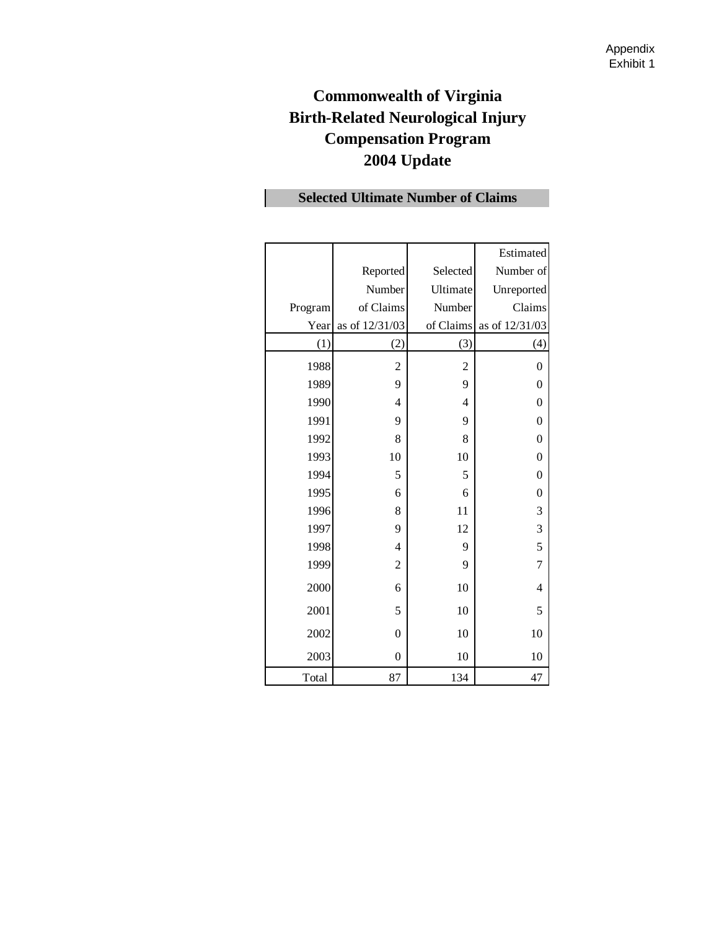# **Commonwealth of Virginia Birth-Related Neurological Injury Compensation Program 2004 Update**

|         |                |                | Estimated        |
|---------|----------------|----------------|------------------|
|         | Reported       | Selected       | Number of        |
|         | Number         | Ultimate       | Unreported       |
| Program | of Claims      | Number         | Claims           |
| Year    | as of 12/31/03 | of Claims      | as of 12/31/03   |
| (1)     | (2)            | (3)            | (4)              |
| 1988    | $\overline{2}$ | $\overline{2}$ | $\boldsymbol{0}$ |
| 1989    | 9              | 9              | $\boldsymbol{0}$ |
| 1990    | 4              | $\overline{4}$ | $\mathbf{0}$     |
| 1991    | 9              | 9              | $\boldsymbol{0}$ |
| 1992    | 8              | 8              | $\boldsymbol{0}$ |
| 1993    | 10             | 10             | $\boldsymbol{0}$ |
| 1994    | 5              | 5              | $\boldsymbol{0}$ |
| 1995    | 6              | 6              | $\boldsymbol{0}$ |
| 1996    | 8              | 11             | 3                |
| 1997    | 9              | 12             | 3                |
| 1998    | 4              | 9              | 5                |
| 1999    | $\overline{2}$ | 9              | $\overline{7}$   |
| 2000    | 6              | 10             | $\overline{4}$   |
| 2001    | 5              | 10             | 5                |
| 2002    | $\mathbf{0}$   | 10             | 10               |
| 2003    | $\mathbf{0}$   | 10             | 10               |
| Total   | 87             | 134            | 47               |

# **Selected Ultimate Number of Claims**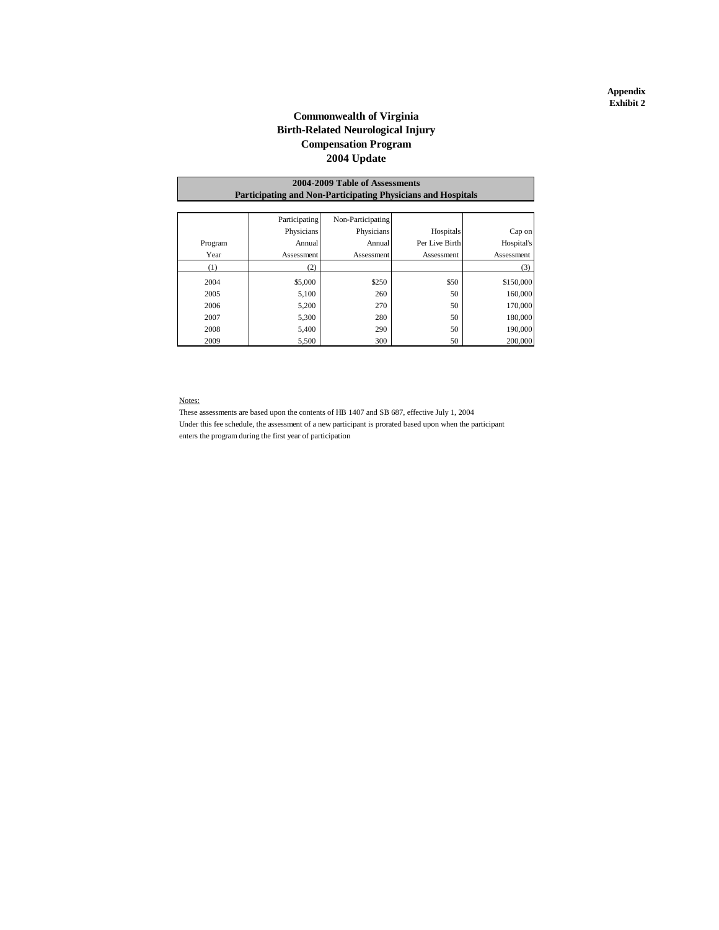#### **Appendix Exhibit 2**

### **Commonwealth of Virginia Birth-Related Neurological Injury 2004 Update Compensation Program**

|                                                                     | 2004-2009 Table of Assessments |                   |                |            |  |  |  |  |  |  |
|---------------------------------------------------------------------|--------------------------------|-------------------|----------------|------------|--|--|--|--|--|--|
| <b>Participating and Non-Participating Physicians and Hospitals</b> |                                |                   |                |            |  |  |  |  |  |  |
|                                                                     |                                |                   |                |            |  |  |  |  |  |  |
|                                                                     | Participating                  | Non-Participating |                |            |  |  |  |  |  |  |
|                                                                     | Physicians                     | Physicians        | Hospitals      | Cap on     |  |  |  |  |  |  |
| Program                                                             | Annual                         | Annual            | Per Live Birth | Hospital's |  |  |  |  |  |  |
| Year                                                                | Assessment                     | Assessment        | Assessment     | Assessment |  |  |  |  |  |  |
| (1)                                                                 | (2)                            |                   |                | (3)        |  |  |  |  |  |  |
| 2004                                                                | \$5,000                        | \$250             | \$50           | \$150,000  |  |  |  |  |  |  |
| 2005                                                                | 5,100                          | 260               | 50             | 160,000    |  |  |  |  |  |  |
| 2006                                                                | 5,200                          | 270               | 50             | 170,000    |  |  |  |  |  |  |
| 2007                                                                | 5,300                          | 280               | 50             | 180,000    |  |  |  |  |  |  |
| 2008                                                                | 5,400                          | 290               | 50             | 190,000    |  |  |  |  |  |  |
| 2009                                                                | 5,500                          | 300               | 50             | 200,000    |  |  |  |  |  |  |

#### Notes:

These assessments are based upon the contents of HB 1407 and SB 687, effective July 1, 2004 Under this fee schedule, the assessment of a new participant is prorated based upon when the participant enters the program during the first year of participation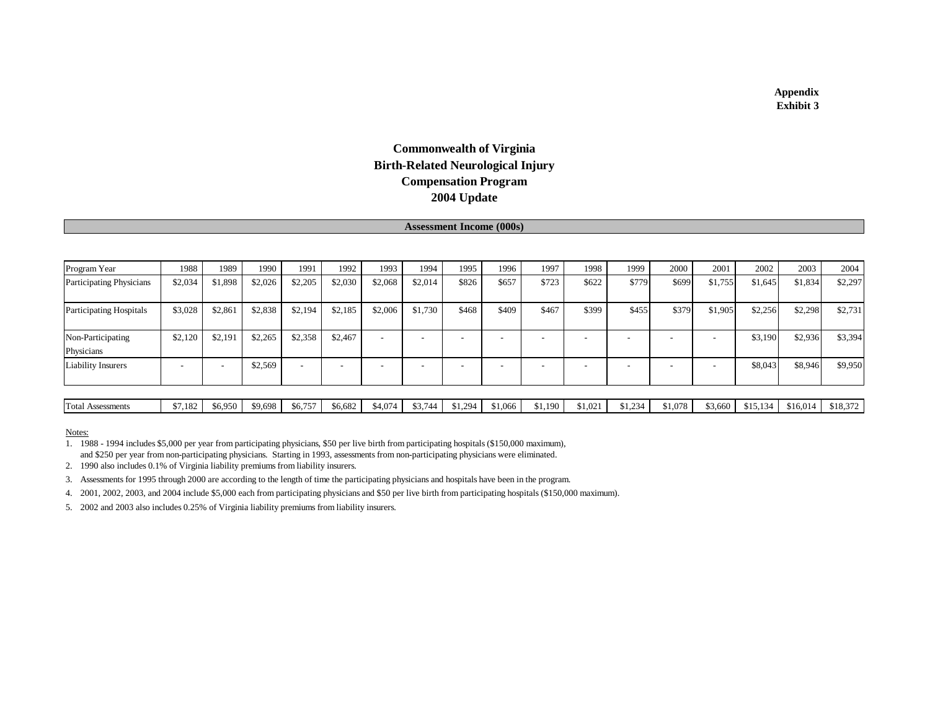### **Appendix Exhibit 3**

# **2004 Update Commonwealth of Virginia Birth-Related Neurological Injury Compensation Program**

#### **Assessment Income (000s)**

| Program Year                    | 1988    | 1989    | 1990    | 1991                     | 1992                     | 1993    | 1994                     | 1995  | 1996  | 1997  | 1998                     | 1999  | 2000  | 2001    | 2002    | 2003    | 2004    |
|---------------------------------|---------|---------|---------|--------------------------|--------------------------|---------|--------------------------|-------|-------|-------|--------------------------|-------|-------|---------|---------|---------|---------|
| <b>Participating Physicians</b> | \$2,034 | \$1,898 | \$2,026 | \$2,205                  | \$2,030                  | \$2,068 | \$2,014                  | \$826 | \$657 | \$723 | \$622                    | \$779 | \$699 | \$1,755 | \$1,645 | \$1,834 | \$2,297 |
| <b>Participating Hospitals</b>  | \$3,028 | \$2,861 | \$2,838 | \$2,194                  | \$2,185                  | \$2,006 | \$1,730                  | \$468 | \$409 | \$467 | \$399                    | \$455 | \$379 | \$1,905 | \$2,256 | \$2,298 | \$2,731 |
| Non-Participating<br>Physicians | \$2,120 | \$2,191 | \$2,265 | \$2,358                  | \$2,467                  |         | $\overline{\phantom{a}}$ |       |       |       | $\overline{\phantom{0}}$ |       |       |         | \$3,190 | \$2,936 | \$3,394 |
| <b>Liability Insurers</b>       |         |         | \$2,569 | $\overline{\phantom{0}}$ | $\overline{\phantom{0}}$ |         | $\overline{\phantom{a}}$ |       |       |       |                          |       |       |         | \$8,043 | \$8,946 | \$9,950 |

Notes:

1. 1988 - 1994 includes \$5,000 per year from participating physicians, \$50 per live birth from participating hospitals (\$150,000 maximum), and \$250 per year from non-participating physicians. Starting in 1993, assessments from non-participating physicians were eliminated.

2. 1990 also includes 0.1% of Virginia liability premiums from liability insurers.

3. Assessments for 1995 through 2000 are according to the length of time the participating physicians and hospitals have been in the program.

4. 2001, 2002, 2003, and 2004 include \$5,000 each from participating physicians and \$50 per live birth from participating hospitals (\$150,000 maximum).

5. 2002 and 2003 also includes 0.25% of Virginia liability premiums from liability insurers.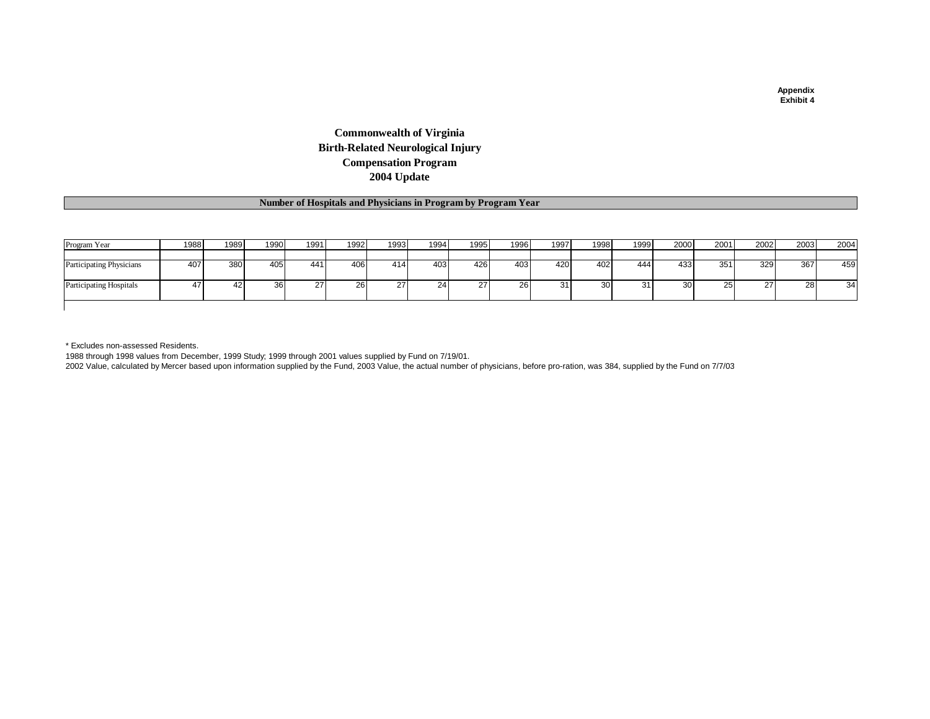## **Commonwealth of Virginia Birth-Related Neurological Injury Compensation Program 2004 Update**

### **Number of Hospitals and Physicians in Program by Program Year**

| Program Year                    | 1988 | 1989 | 1990 | 1991 | 1992 | 1993 | 1994 | 1995 | 1996 | 1997 | 1998 | 1999 | 2000 | 2001      | 2002 | 2003 | 2004 |
|---------------------------------|------|------|------|------|------|------|------|------|------|------|------|------|------|-----------|------|------|------|
|                                 |      |      |      |      |      |      |      |      |      |      |      |      |      |           |      |      |      |
| <b>Participating Physicians</b> | 407  | 380  | 405  | 441  | 406  | 414  | 403  | 426  | 403  | 420  | 402  | 444  | 433  | 351       | 329  | 367  | 459  |
| <b>Participating Hospitals</b>  | 41   | 42   | 36   | 27   | 26.  | 27   | 24   | 27   | 26   |      | 30   |      | 30   | <b>25</b> | 27   | 28   | 34   |
|                                 |      |      |      |      |      |      |      |      |      |      |      |      |      |           |      |      |      |

\* Excludes non-assessed Residents.

1988 through 1998 values from December, 1999 Study; 1999 through 2001 values supplied by Fund on 7/19/01.

2002 Value, calculated by Mercer based upon information supplied by the Fund, 2003 Value, the actual number of physicians, before pro-ration, was 384, supplied by the Fund on 7/7/03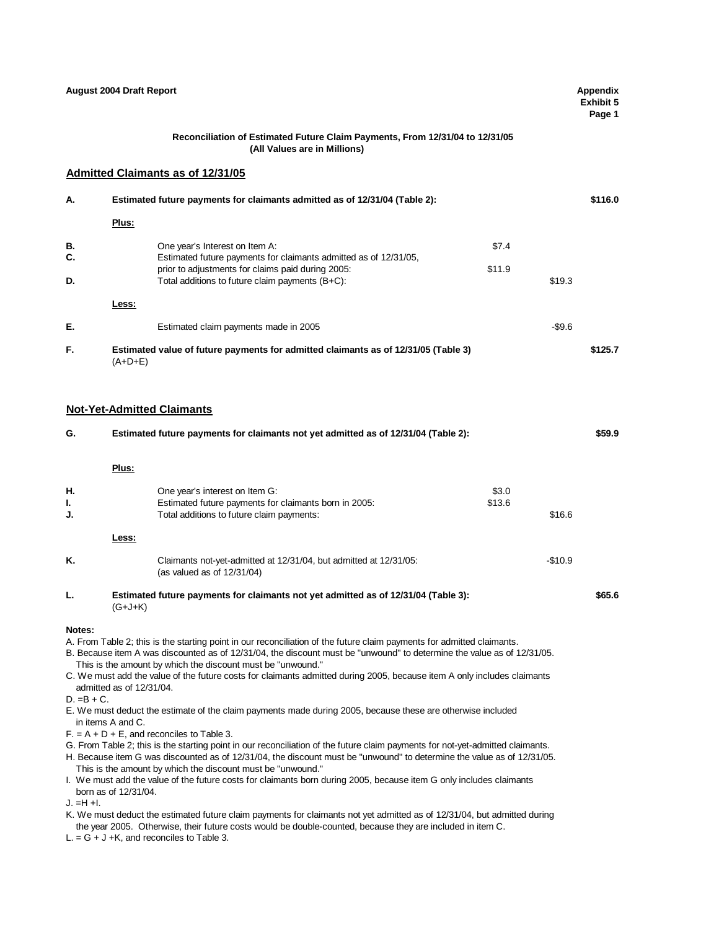|            | <b>August 2004 Draft Report</b> |                                                                                                                                                                                                                                                                                                                                                                                                                                                                                        |        |          | <b>Appendix</b><br>Exhibit 5<br>Page 1 |
|------------|---------------------------------|----------------------------------------------------------------------------------------------------------------------------------------------------------------------------------------------------------------------------------------------------------------------------------------------------------------------------------------------------------------------------------------------------------------------------------------------------------------------------------------|--------|----------|----------------------------------------|
|            |                                 | Reconciliation of Estimated Future Claim Payments, From 12/31/04 to 12/31/05<br>(All Values are in Millions)                                                                                                                                                                                                                                                                                                                                                                           |        |          |                                        |
|            |                                 | <b>Admitted Claimants as of 12/31/05</b>                                                                                                                                                                                                                                                                                                                                                                                                                                               |        |          |                                        |
| А.         |                                 | Estimated future payments for claimants admitted as of 12/31/04 (Table 2):                                                                                                                                                                                                                                                                                                                                                                                                             |        |          | \$116.0                                |
|            | Plus:                           |                                                                                                                                                                                                                                                                                                                                                                                                                                                                                        |        |          |                                        |
| В.         |                                 | One year's Interest on Item A:                                                                                                                                                                                                                                                                                                                                                                                                                                                         | \$7.4  |          |                                        |
| C.         |                                 | Estimated future payments for claimants admitted as of 12/31/05,<br>prior to adjustments for claims paid during 2005:                                                                                                                                                                                                                                                                                                                                                                  | \$11.9 |          |                                        |
| D.         |                                 | Total additions to future claim payments $(B+C)$ :                                                                                                                                                                                                                                                                                                                                                                                                                                     |        | \$19.3   |                                        |
|            | Less:                           |                                                                                                                                                                                                                                                                                                                                                                                                                                                                                        |        |          |                                        |
| Е.         |                                 | Estimated claim payments made in 2005                                                                                                                                                                                                                                                                                                                                                                                                                                                  |        | $-$9.6$  |                                        |
| F.         | $(A+D+E)$                       | Estimated value of future payments for admitted claimants as of 12/31/05 (Table 3)                                                                                                                                                                                                                                                                                                                                                                                                     |        |          | \$125.7                                |
| G.         |                                 | <b>Not-Yet-Admitted Claimants</b><br>Estimated future payments for claimants not yet admitted as of 12/31/04 (Table 2):                                                                                                                                                                                                                                                                                                                                                                |        |          | \$59.9                                 |
|            |                                 |                                                                                                                                                                                                                                                                                                                                                                                                                                                                                        |        |          |                                        |
|            | Plus:                           |                                                                                                                                                                                                                                                                                                                                                                                                                                                                                        |        |          |                                        |
| Н.         |                                 | One year's interest on Item G:                                                                                                                                                                                                                                                                                                                                                                                                                                                         | \$3.0  |          |                                        |
| I.<br>J.   |                                 | Estimated future payments for claimants born in 2005:<br>Total additions to future claim payments:                                                                                                                                                                                                                                                                                                                                                                                     | \$13.6 | \$16.6   |                                        |
|            | Less:                           |                                                                                                                                                                                                                                                                                                                                                                                                                                                                                        |        |          |                                        |
| K.         |                                 | Claimants not-yet-admitted at 12/31/04, but admitted at 12/31/05:<br>(as valued as of $12/31/04$ )                                                                                                                                                                                                                                                                                                                                                                                     |        | $-$10.9$ |                                        |
| L.         | $(G+J+K)$                       | Estimated future payments for claimants not yet admitted as of 12/31/04 (Table 3):                                                                                                                                                                                                                                                                                                                                                                                                     |        |          | \$65.6                                 |
| Notes:     | admitted as of 12/31/04.        | A. From Table 2; this is the starting point in our reconciliation of the future claim payments for admitted claimants.<br>B. Because item A was discounted as of 12/31/04, the discount must be "unwound" to determine the value as of 12/31/05.<br>This is the amount by which the discount must be "unwound."<br>C. We must add the value of the future costs for claimants admitted during 2005, because item A only includes claimants                                             |        |          |                                        |
| D. =B + C. | in items A and C.               | E. We must deduct the estimate of the claim payments made during 2005, because these are otherwise included<br>$F = A + D + E$ , and reconciles to Table 3.<br>G. From Table 2; this is the starting point in our reconciliation of the future claim payments for not-yet-admitted claimants.<br>H. Because item G was discounted as of 12/31/04, the discount must be "unwound" to determine the value as of 12/31/05.<br>This is the amount by which the discount must be "unwound." |        |          |                                        |
| J. =H +I.  | born as of 12/31/04.            | I. We must add the value of the future costs for claimants born during 2005, because item G only includes claimants<br>K. We must deduct the estimated future claim payments for claimants not yet admitted as of 12/31/04, but admitted during                                                                                                                                                                                                                                        |        |          |                                        |

the year 2005. Otherwise, their future costs would be double-counted, because they are included in item C.

 $L = G + J + K$ , and reconciles to Table 3.